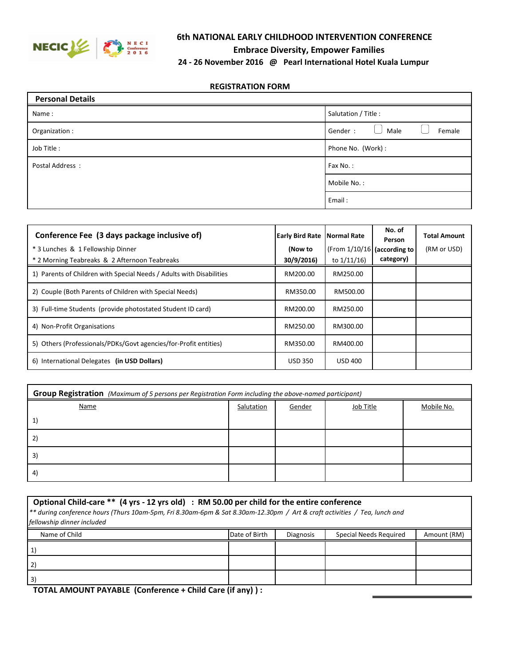

## **6th NATIONAL EARLY CHILDHOOD INTERVENTION CONFERENCE**

**Embrace Diversity, Empower Families** 

## **REGISTRATION FORM**

| <b>Personal Details</b> |                           |
|-------------------------|---------------------------|
| Name:                   | Salutation / Title :      |
| Organization :          | Gender:<br>Female<br>Male |
| Job Title:              | Phone No. (Work):         |
| Postal Address:         | Fax No.:                  |
|                         | Mobile No.:               |
|                         | Email:                    |

| Conference Fee (3 days package inclusive of)                         | <b>Early Bird Rate Normal Rate</b> |                               | No. of<br>Person | <b>Total Amount</b> |
|----------------------------------------------------------------------|------------------------------------|-------------------------------|------------------|---------------------|
| * 3 Lunches & 1 Fellowship Dinner                                    | (Now to                            | (From $1/10/16$ (according to |                  | (RM or USD)         |
| * 2 Morning Teabreaks & 2 Afternoon Teabreaks                        | 30/9/2016)                         | to $1/11/16$                  | category)        |                     |
| 1) Parents of Children with Special Needs / Adults with Disabilities | RM200.00                           | RM250.00                      |                  |                     |
| 2) Couple (Both Parents of Children with Special Needs)              | RM350.00                           | RM500.00                      |                  |                     |
| 3) Full-time Students (provide photostated Student ID card)          | RM200.00                           | RM250.00                      |                  |                     |
| 4) Non-Profit Organisations                                          | RM250.00                           | RM300.00                      |                  |                     |
| 5) Others (Professionals/PDKs/Govt agencies/for-Profit entities)     | RM350.00                           | RM400.00                      |                  |                     |
| 6) International Delegates (in USD Dollars)                          | <b>USD 350</b>                     | <b>USD 400</b>                |                  |                     |

| Group Registration (Maximum of 5 persons per Registration Form including the above-named participant) |            |        |           |            |
|-------------------------------------------------------------------------------------------------------|------------|--------|-----------|------------|
| Name                                                                                                  | Salutation | Gender | Job Title | Mobile No. |
| 1                                                                                                     |            |        |           |            |
| $\mathbf{2}$                                                                                          |            |        |           |            |
| 3)                                                                                                    |            |        |           |            |
| -4                                                                                                    |            |        |           |            |

| Optional Child-care ** (4 yrs - 12 yrs old) : RM 50.00 per child for the entire conference<br>** during conference hours (Thurs 10am-5pm, Fri 8.30am-6pm & Sat 8.30am-12.30pm / Art & craft activities / Tea, lunch and<br>fellowship dinner included |               |                  |                               |             |
|-------------------------------------------------------------------------------------------------------------------------------------------------------------------------------------------------------------------------------------------------------|---------------|------------------|-------------------------------|-------------|
| Name of Child                                                                                                                                                                                                                                         | Date of Birth | <b>Diagnosis</b> | <b>Special Needs Required</b> | Amount (RM) |
|                                                                                                                                                                                                                                                       |               |                  |                               |             |
|                                                                                                                                                                                                                                                       |               |                  |                               |             |
| 3)                                                                                                                                                                                                                                                    |               |                  |                               |             |

 **TOTAL AMOUNT PAYABLE (Conference + Child Care (if any) ) :**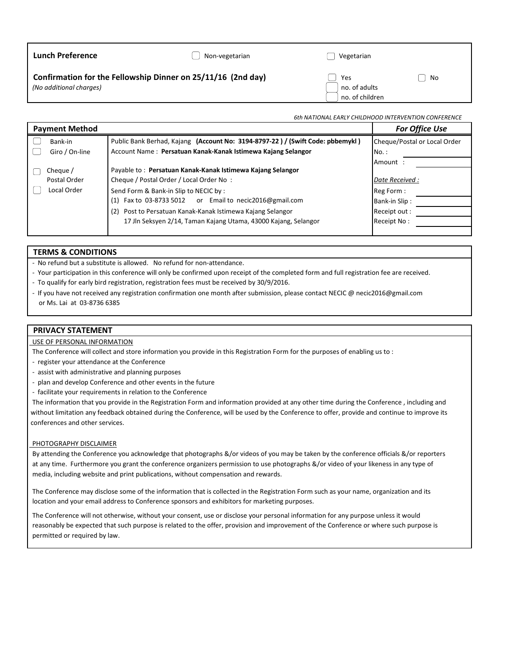| <b>Lunch Preference</b>                                                                 | Non-vegetarian | Vegetarian                              |    |
|-----------------------------------------------------------------------------------------|----------------|-----------------------------------------|----|
| Confirmation for the Fellowship Dinner on 25/11/16 (2nd day)<br>(No additional charges) |                | Yes<br>no. of adults<br>no. of children | No |
|                                                                                         |                |                                         |    |

# *6th NATIONAL EARLY CHILDHOOD INTERVENTION CONFERENCE*

| <b>Payment Method</b> |                                                                                | <b>For Office Use</b>        |
|-----------------------|--------------------------------------------------------------------------------|------------------------------|
| Bank-in               | Public Bank Berhad, Kajang (Account No: 3194-8797-22) / (Swift Code: pbbemykl) | Cheque/Postal or Local Order |
| Giro / On-line        | Account Name: Persatuan Kanak-Kanak Istimewa Kajang Selangor                   | No.:                         |
|                       |                                                                                | Amount:                      |
| Cheque /              | Payable to: Persatuan Kanak-Kanak Istimewa Kajang Selangor                     |                              |
| Postal Order          | Cheque / Postal Order / Local Order No:                                        | Date Received:               |
| Local Order           | Send Form & Bank-in Slip to NECIC by:                                          | Reg Form:                    |
|                       | Fax to 03-8733 5012 or Email to necic2016@gmail.com<br>(1)                     | Bank-in Slip:                |
|                       | Post to Persatuan Kanak-Kanak Istimewa Kajang Selangor<br>(2)                  | Receipt out:                 |
|                       | 17 Jln Seksyen 2/14, Taman Kajang Utama, 43000 Kajang, Selangor                | Receipt No:                  |
|                       |                                                                                |                              |

#### **TERMS & CONDITIONS**

- No refund but a substitute is allowed. No refund for non-attendance.

- Your participation in this conference will only be confirmed upon receipt of the completed form and full registration fee are received.

- To qualify for early bird registration, registration fees must be received by 30/9/2016.
- If you have not received any registration confirmation one month after submission, please contact NECIC @ necic2016@gmail.com or Ms. Lai at 03-8736 6385

#### **PRIVACY STATEMENT**

#### USE OF PERSONAL INFORMATION

The Conference will collect and store information you provide in this Registration Form for the purposes of enabling us to :

- register your attendance at the Conference
- assist with administrative and planning purposes
- plan and develop Conference and other events in the future
- facilitate your requirements in relation to the Conference

 The information that you provide in the Registration Form and information provided at any other time during the Conference , including and without limitation any feedback obtained during the Conference, will be used by the Conference to offer, provide and continue to improve its conferences and other services.

#### PHOTOGRAPHY DISCLAIMER

 By attending the Conference you acknowledge that photographs &/or videos of you may be taken by the conference officials &/or reporters at any time. Furthermore you grant the conference organizers permission to use photographs &/or video of your likeness in any type of media, including website and print publications, without compensation and rewards.

 The Conference may disclose some of the information that is collected in the Registration Form such as your name, organization and its location and your email address to Conference sponsors and exhibitors for marketing purposes.

 The Conference will not otherwise, without your consent, use or disclose your personal information for any purpose unless it would reasonably be expected that such purpose is related to the offer, provision and improvement of the Conference or where such purpose is permitted or required by law.